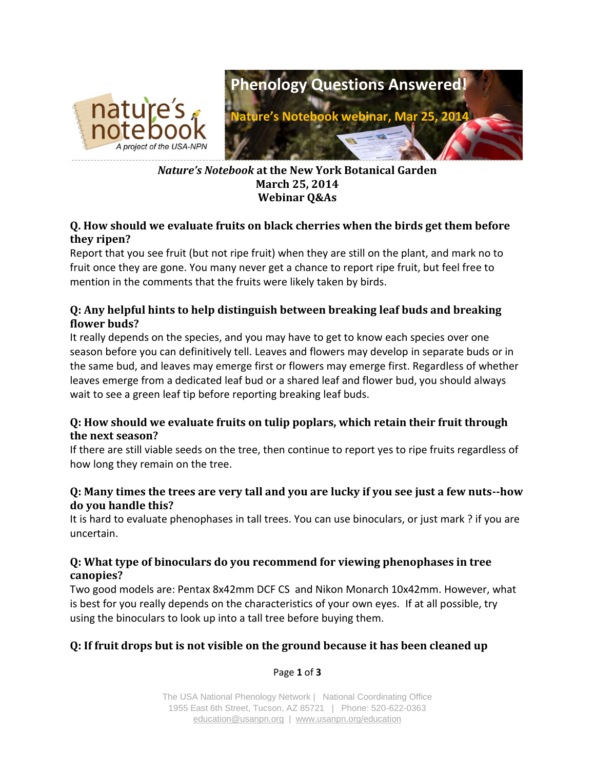

## *Nature's Notebook* **at the New York Botanical Garden March 25, 2014 Webinar Q&As**

## **Q. How should we evaluate fruits on black cherries when the birds get them before they ripen?**

Report that you see fruit (but not ripe fruit) when they are still on the plant, and mark no to fruit once they are gone. You many never get a chance to report ripe fruit, but feel free to mention in the comments that the fruits were likely taken by birds.

# **Q: Any helpful hints to help distinguish between breaking leaf buds and breaking flower buds?**

It really depends on the species, and you may have to get to know each species over one season before you can definitively tell. Leaves and flowers may develop in separate buds or in the same bud, and leaves may emerge first or flowers may emerge first. Regardless of whether leaves emerge from a dedicated leaf bud or a shared leaf and flower bud, you should always wait to see a green leaf tip before reporting breaking leaf buds.

# **Q: How should we evaluate fruits on tulip poplars, which retain their fruit through the next season?**

If there are still viable seeds on the tree, then continue to report yes to ripe fruits regardless of how long they remain on the tree.

# **Q: Many times the trees are very tall and you are lucky if you see just a few nuts--how do you handle this?**

It is hard to evaluate phenophases in tall trees. You can use binoculars, or just mark ? if you are uncertain.

# **Q: What type of binoculars do you recommend for viewing phenophases in tree canopies?**

Two good models are: Pentax 8x42mm DCF CS and Nikon Monarch 10x42mm. However, what is best for you really depends on the characteristics of your own eyes. If at all possible, try using the binoculars to look up into a tall tree before buying them.

# **Q: If fruit drops but is not visible on the ground because it has been cleaned up**

Page **1** of **3**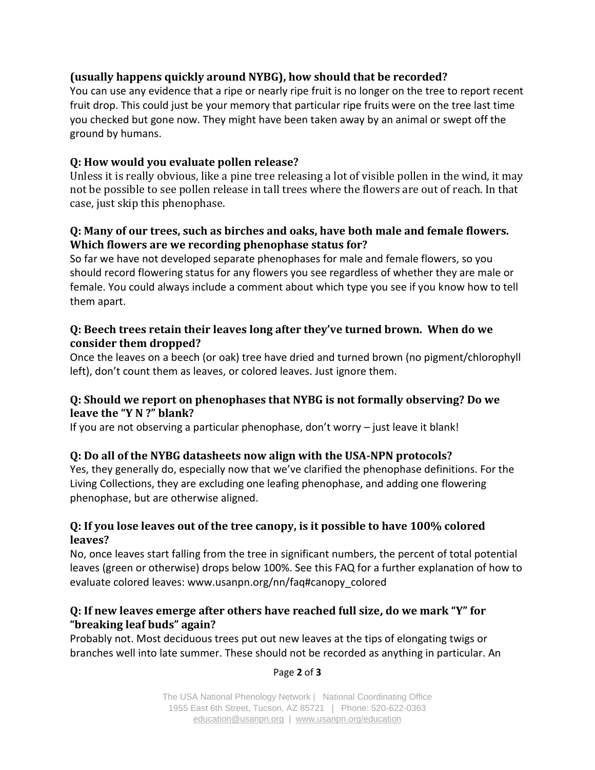## **(usually happens quickly around NYBG), how should that be recorded?**

You can use any evidence that a ripe or nearly ripe fruit is no longer on the tree to report recent fruit drop. This could just be your memory that particular ripe fruits were on the tree last time you checked but gone now. They might have been taken away by an animal or swept off the ground by humans.

## **Q: How would you evaluate pollen release?**

Unless it is really obvious, like a pine tree releasing a lot of visible pollen in the wind, it may not be possible to see pollen release in tall trees where the flowers are out of reach. In that case, just skip this phenophase.

#### **Q: Many of our trees, such as birches and oaks, have both male and female flowers. Which flowers are we recording phenophase status for?**

So far we have not developed separate phenophases for male and female flowers, so you should record flowering status for any flowers you see regardless of whether they are male or female. You could always include a comment about which type you see if you know how to tell them apart.

## **Q: Beech trees retain their leaves long after they've turned brown. When do we consider them dropped?**

Once the leaves on a beech (or oak) tree have dried and turned brown (no pigment/chlorophyll left), don't count them as leaves, or colored leaves. Just ignore them.

## **Q: Should we report on phenophases that NYBG is not formally observing? Do we leave the "Y N ?" blank?**

If you are not observing a particular phenophase, don't worry – just leave it blank!

# **Q: Do all of the NYBG datasheets now align with the USA-NPN protocols?**

Yes, they generally do, especially now that we've clarified the phenophase definitions. For the Living Collections, they are excluding one leafing phenophase, and adding one flowering phenophase, but are otherwise aligned.

## **Q: If you lose leaves out of the tree canopy, is it possible to have 100% colored leaves?**

No, once leaves start falling from the tree in significant numbers, the percent of total potential leaves (green or otherwise) drops below 100%. See this FAQ for a further explanation of how to evaluate colored leaves: [www.usanpn.org/nn/faq#canopy\\_colored](https://www.usanpn.org/nn/faq#canopy_colored)

#### **Q: If new leaves emerge after others have reached full size, do we mark "Y" for "breaking leaf buds" again?**

Probably not. Most deciduous trees put out new leaves at the tips of elongating twigs or branches well into late summer. These should not be recorded as anything in particular. An

#### Page **2** of **3**